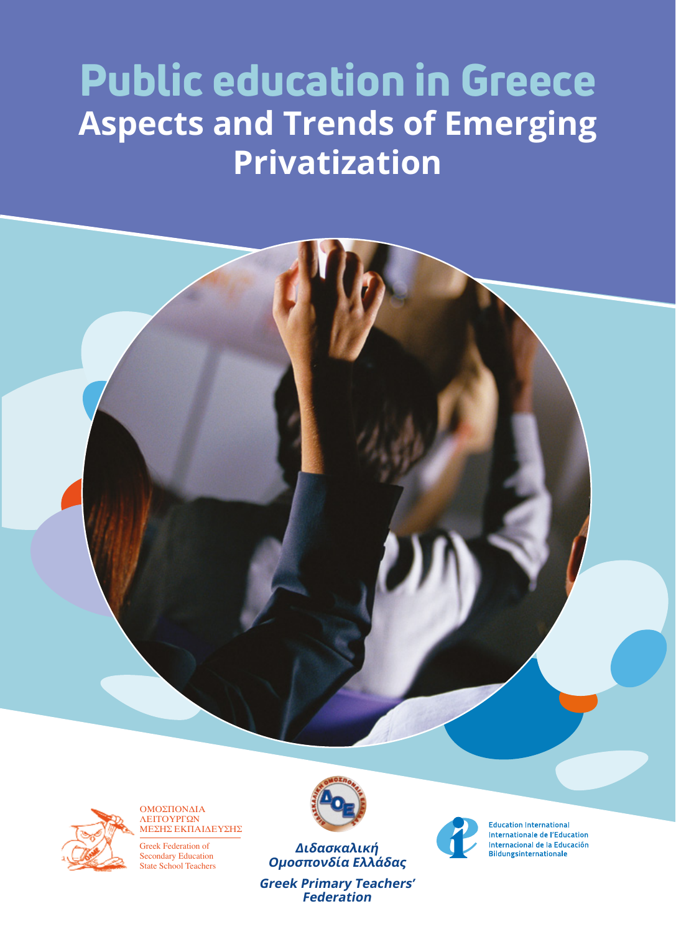# Public education in Greece **Aspects and Trends of Emerging Privatization**



ΟΜΟΣΠΟΝΔΙΑ ΛΕΙΤΟΥΡΓΩΝ ΜΕΣΗΣ ΕΚΠΑΙΔΕΥΣΗΣ

Greek Federation of Secondary Education State School Teachers



**Διδασκαλική Ομοσπονδία Ελλάδας**

**Greek Primary Teachers' Federation**



**Education International** Internationale de l'Education Internacional de la Educación Bildungsinternationale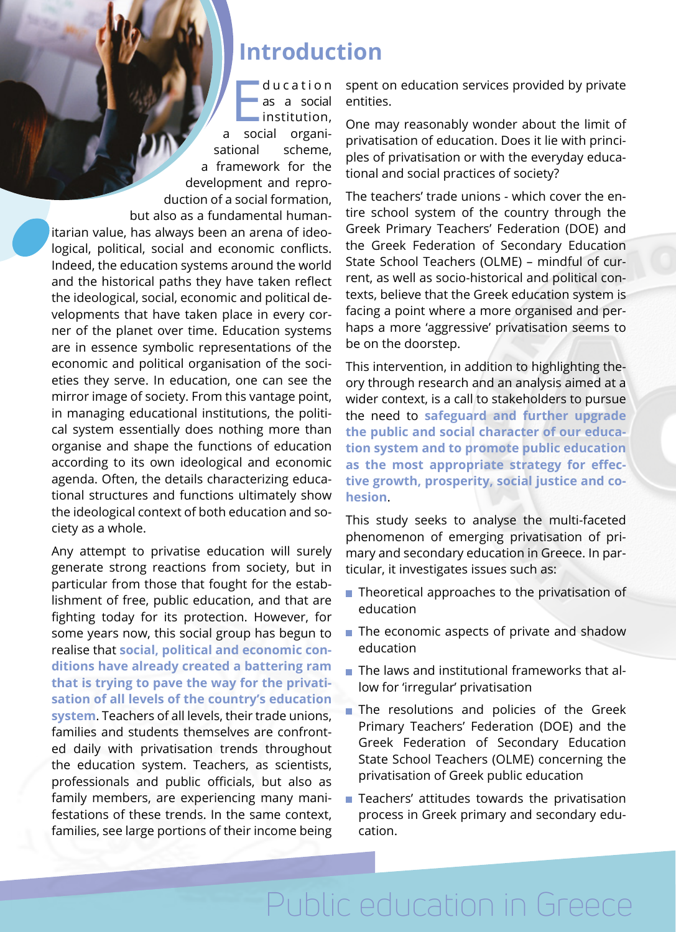#### **Introduction**

d u c a t i o n

ducation<br>
as a social<br>
institution,<br>
a social organias a social institution, sational scheme, a framework for the development and reproduction of a social formation, but also as a fundamental humanitarian value, has always been an arena of ideological, political, social and economic conflicts. Indeed, the education systems around the world and the historical paths they have taken reflect the ideological, social, economic and political developments that have taken place in every corner of the planet over time. Education systems are in essence symbolic representations of the economic and political organisation of the societies they serve. In education, one can see the mirror image of society. From this vantage point, in managing educational institutions, the political system essentially does nothing more than organise and shape the functions of education according to its own ideological and economic agenda. Often, the details characterizing educational structures and functions ultimately show the ideological context of both education and society as a whole.

Any attempt to privatise education will surely generate strong reactions from society, but in particular from those that fought for the establishment of free, public education, and that are fighting today for its protection. However, for some years now, this social group has begun to realise that **social, political and economic conditions have already created a battering ram that is trying to pave the way for the privatisation of all levels of the country's education system**. Teachers of all levels, their trade unions, families and students themselves are confronted daily with privatisation trends throughout the education system. Teachers, as scientists, professionals and public officials, but also as family members, are experiencing many manifestations of these trends. In the same context, families, see large portions of their income being spent on education services provided by private entities.

One may reasonably wonder about the limit of privatisation of education. Does it lie with principles of privatisation or with the everyday educational and social practices of society?

The teachers' trade unions - which cover the entire school system of the country through the Greek Primary Teachers' Federation (DOE) and the Greek Federation of Secondary Education State School Teachers (OLME) – mindful of current, as well as socio-historical and political contexts, believe that the Greek education system is facing a point where a more organised and perhaps a more 'aggressive' privatisation seems to be on the doorstep.

This intervention, in addition to highlighting theory through research and an analysis aimed at a wider context, is a call to stakeholders to pursue the need to **safeguard and further upgrade the public and social character of our education system and to promote public education as the most appropriate strategy for effective growth, prosperity, social justice and cohesion**.

This study seeks to analyse the multi-faceted phenomenon of emerging privatisation of primary and secondary education in Greece. In particular, it investigates issues such as:

- $\blacksquare$  Theoretical approaches to the privatisation of education
- $\blacksquare$  The economic aspects of private and shadow education
- $\blacksquare$  The laws and institutional frameworks that allow for 'irregular' privatisation
- The resolutions and policies of the Greek Primary Teachers' Federation (DOE) and the Greek Federation of Secondary Education State School Teachers (OLME) concerning the privatisation of Greek public education
- **Teachers' attitudes towards the privatisation** process in Greek primary and secondary education.

Public education in Greece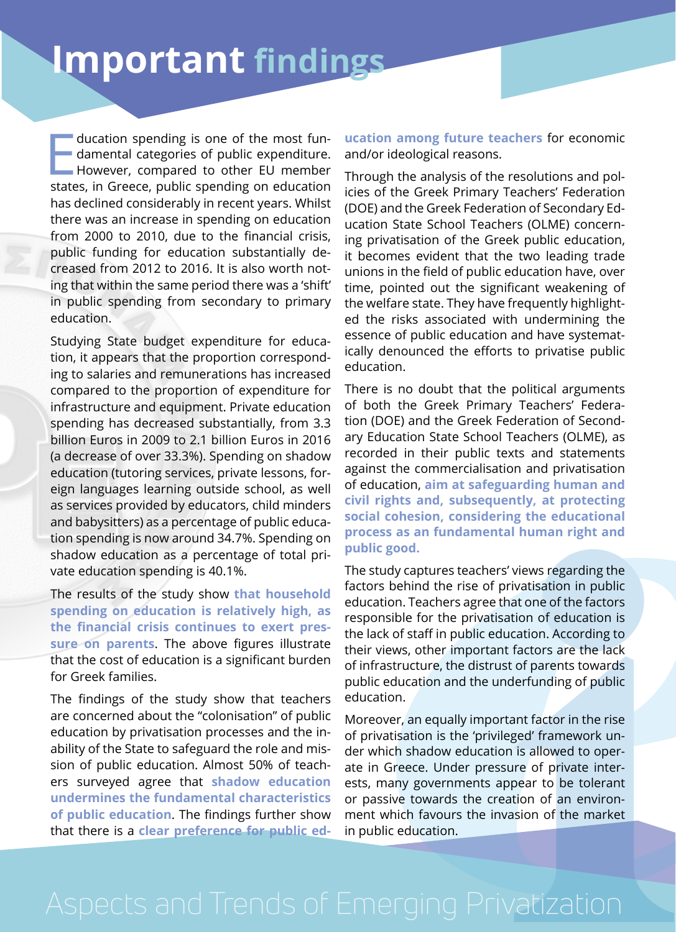## **Important findings**

ducation spending is one of the most fun-<br>damental categories of public expenditure.<br>However, compared to other EU member<br>states, in Greece, public spending on education ducation spending is one of the most fundamental categories of public expenditure. However, compared to other EU member has declined considerably in recent years. Whilst there was an increase in spending on education from 2000 to 2010, due to the financial crisis, public funding for education substantially decreased from 2012 to 2016. It is also worth noting that within the same period there was a 'shift' in public spending from secondary to primary education.

Studying State budget expenditure for education, it appears that the proportion corresponding to salaries and remunerations has increased compared to the proportion of expenditure for infrastructure and equipment. Private education spending has decreased substantially, from 3.3 billion Euros in 2009 to 2.1 billion Euros in 2016 (a decrease of over 33.3%). Spending on shadow education (tutoring services, private lessons, foreign languages learning outside school, as well as services provided by educators, child minders and babysitters) as a percentage of public education spending is now around 34.7%. Spending on shadow education as a percentage of total private education spending is 40.1%.

The results of the study show **that household spending on education is relatively high, as the financial crisis continues to exert pressure on parents**. The above figures illustrate that the cost of education is a significant burden for Greek families.

The findings of the study show that teachers are concerned about the "colonisation" of public education by privatisation processes and the inability of the State to safeguard the role and mission of public education. Almost 50% of teachers surveyed agree that **shadow education undermines the fundamental characteristics of public education**. The findings further show that there is a **clear preference for public ed-** **ucation among future teachers** for economic and/or ideological reasons.

Through the analysis of the resolutions and policies of the Greek Primary Teachers' Federation (DOE) and the Greek Federation of Secondary Education State School Teachers (OLME) concerning privatisation of the Greek public education, it becomes evident that the two leading trade unions in the field of public education have, over time, pointed out the significant weakening of the welfare state. They have frequently highlighted the risks associated with undermining the essence of public education and have systematically denounced the efforts to privatise public education.

There is no doubt that the political arguments of both the Greek Primary Teachers' Federation (DOE) and the Greek Federation of Secondary Education State School Teachers (OLME), as recorded in their public texts and statements against the commercialisation and privatisation of education, **aim at safeguarding human and civil rights and, subsequently, at protecting social cohesion, considering the educational process as an fundamental human right and public good.** 

The study captures teachers' views regarding the factors behind the rise of privatisation in public education. Teachers agree that one of the factors responsible for the privatisation of education is the lack of staff in public education. According to their views, other important factors are the lack of infrastructure, the distrust of parents towards public education and the underfunding of public education.

Moreover, an equally important factor in the rise of privatisation is the 'privileged' framework under which shadow education is allowed to operate in Greece. Under pressure of private interests, many governments appear to be tolerant or passive towards the creation of an environment which favours the invasion of the market in public education.

### Aspects and Trends of Emerging Privatization